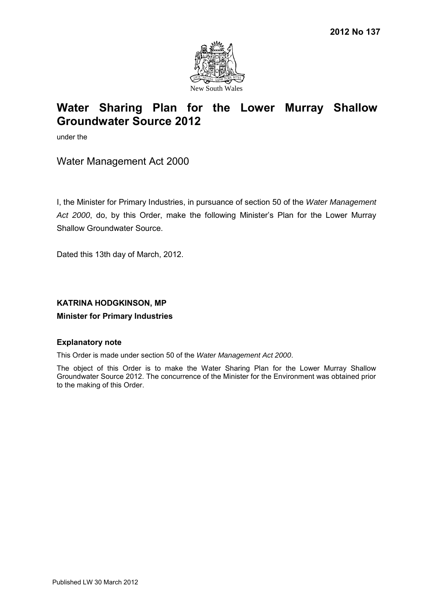

under the

Water Management Act 2000

I, the Minister for Primary Industries, in pursuance of section 50 of the *Water Management Act 2000*, do, by this Order, make the following Minister's Plan for the Lower Murray Shallow Groundwater Source. 2012 No 137<br>
Water Sharing Plan for the Lower Murray Shallow<br>
Section Water<br>
Strengthe Counter Source 2012<br>
Section Water<br>
Water Management Act 2000<br>
1. the Minister for Primary Industries, in pursuance of section 50 of th

Dated this 13th day of March, 2012.

## **KATRINA HODGKINSON, MP**

## **Minister for Primary Industries**

## **Explanatory note**

This Order is made under section 50 of the *Water Management Act 2000*.

The object of this Order is to make the Water Sharing Plan for the Lower Murray Shallow Groundwater Source 2012. The concurrence of the Minister for the Environment was obtained prior to the making of this Order.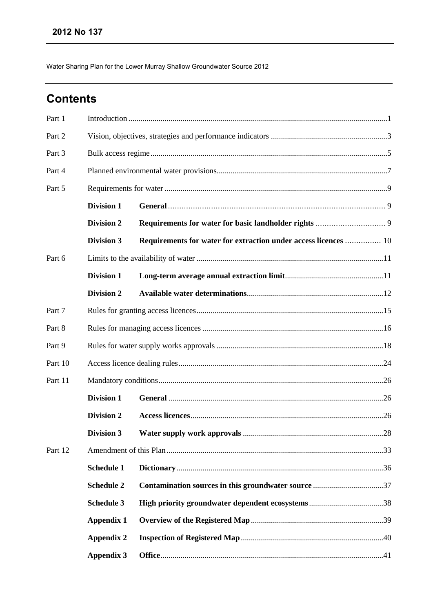# **Contents**

| Part 1  |                   |                                                                 |  |
|---------|-------------------|-----------------------------------------------------------------|--|
| Part 2  |                   |                                                                 |  |
| Part 3  |                   |                                                                 |  |
| Part 4  |                   |                                                                 |  |
| Part 5  |                   |                                                                 |  |
|         | <b>Division 1</b> |                                                                 |  |
|         | <b>Division 2</b> |                                                                 |  |
|         | <b>Division 3</b> | Requirements for water for extraction under access licences  10 |  |
| Part 6  |                   |                                                                 |  |
|         | <b>Division 1</b> |                                                                 |  |
|         | <b>Division 2</b> |                                                                 |  |
| Part 7  |                   |                                                                 |  |
| Part 8  |                   |                                                                 |  |
| Part 9  |                   |                                                                 |  |
| Part 10 |                   |                                                                 |  |
| Part 11 |                   |                                                                 |  |
|         | <b>Division 1</b> |                                                                 |  |
|         | <b>Division 2</b> |                                                                 |  |
|         | <b>Division 3</b> |                                                                 |  |
| Part 12 |                   |                                                                 |  |
|         | <b>Schedule 1</b> |                                                                 |  |
|         | <b>Schedule 2</b> |                                                                 |  |
|         | Schedule 3        |                                                                 |  |
|         | <b>Appendix 1</b> |                                                                 |  |
|         | <b>Appendix 2</b> |                                                                 |  |
|         | <b>Appendix 3</b> |                                                                 |  |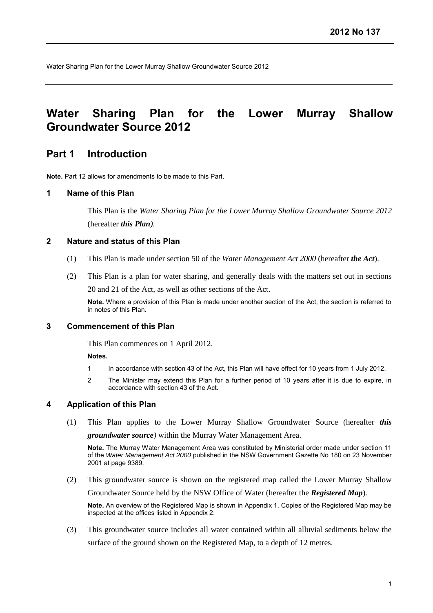# **Water Sharing Plan for the Lower Murray Shallow Groundwater Source 2012**

## <span id="page-2-0"></span>**Part 1 Introduction**

**Note.** Part 12 allows for amendments to be made to this Part.

### **1 Name of this Plan**

This Plan is the *Water Sharing Plan for the Lower Murray Shallow Groundwater Source 2012* (hereafter *this Plan).*

## **2 Nature and status of this Plan**

- (1) This Plan is made under section 50 of the *Water Management Act 2000* (hereafter *the Act*).
- (2) This Plan is a plan for water sharing, and generally deals with the matters set out in sections 20 and 21 of the Act, as well as other sections of the Act.

**Note.** Where a provision of this Plan is made under another section of the Act, the section is referred to in notes of this Plan.

### **3 Commencement of this Plan**

This Plan commences on 1 April 2012.

#### **Notes.**

- 1 In accordance with section 43 of the Act, this Plan will have effect for 10 years from 1 July 2012.
- 2 The Minister may extend this Plan for a further period of 10 years after it is due to expire, in accordance with section 43 of the Act.

#### **4 Application of this Plan**

(1) This Plan applies to the Lower Murray Shallow Groundwater Source (hereafter *this groundwater source)* within the Murray Water Management Area.

**Note.** The Murray Water Management Area was constituted by Ministerial order made under section 11 of the *Water Management Act 2000* published in the NSW Government Gazette No 180 on 23 November 2001 at page 9389.

(2) This groundwater source is shown on the registered map called the Lower Murray Shallow

Groundwater Source held by the NSW Office of Water (hereafter the *Registered Map*)*.*

**Note.** An overview of the Registered Map is shown in Appendix 1. Copies of the Registered Map may be inspected at the offices listed in Appendix 2.

(3) This groundwater source includes all water contained within all alluvial sediments below the surface of the ground shown on the Registered Map, to a depth of 12 metres.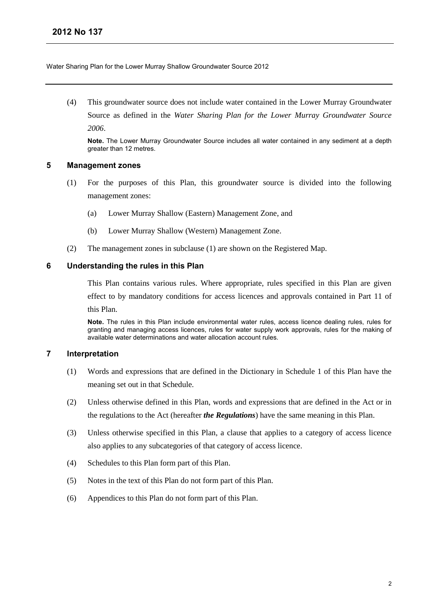(4) This groundwater source does not include water contained in the Lower Murray Groundwater Source as defined in the *Water Sharing Plan for the Lower Murray Groundwater Source 2006*.

**Note.** The Lower Murray Groundwater Source includes all water contained in any sediment at a depth greater than 12 metres.

## **5 Management zones**

- (1) For the purposes of this Plan, this groundwater source is divided into the following management zones:
	- (a) Lower Murray Shallow (Eastern) Management Zone, and
	- (b) Lower Murray Shallow (Western) Management Zone.
- (2) The management zones in subclause (1) are shown on the Registered Map.

## **6 Understanding the rules in this Plan**

This Plan contains various rules. Where appropriate, rules specified in this Plan are given effect to by mandatory conditions for access licences and approvals contained in Part 11 of this Plan.

**Note.** The rules in this Plan include environmental water rules, access licence dealing rules, rules for granting and managing access licences, rules for water supply work approvals, rules for the making of available water determinations and water allocation account rules.

## **7 Interpretation**

- (1) Words and expressions that are defined in the Dictionary in Schedule 1 of this Plan have the meaning set out in that Schedule.
- (2) Unless otherwise defined in this Plan, words and expressions that are defined in the Act or in the regulations to the Act (hereafter *the Regulations*) have the same meaning in this Plan.
- (3) Unless otherwise specified in this Plan, a clause that applies to a category of access licence also applies to any subcategories of that category of access licence.
- (4) Schedules to this Plan form part of this Plan.
- (5) Notes in the text of this Plan do not form part of this Plan.
- (6) Appendices to this Plan do not form part of this Plan.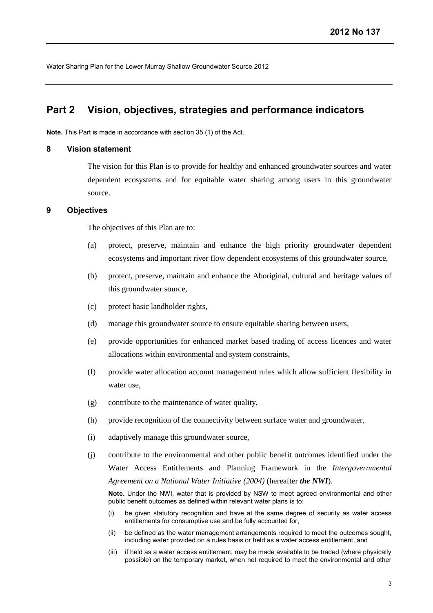## <span id="page-4-0"></span>**Part 2 Vision, objectives, strategies and performance indicators**

**Note.** This Part is made in accordance with section 35 (1) of the Act.

### **8 Vision statement**

The vision for this Plan is to provide for healthy and enhanced groundwater sources and water dependent ecosystems and for equitable water sharing among users in this groundwater source.

#### **9 Objectives**

The objectives of this Plan are to:

- (a) protect, preserve, maintain and enhance the high priority groundwater dependent ecosystems and important river flow dependent ecosystems of this groundwater source,
- (b) protect, preserve, maintain and enhance the Aboriginal, cultural and heritage values of this groundwater source,
- (c) protect basic landholder rights,
- (d) manage this groundwater source to ensure equitable sharing between users,
- (e) provide opportunities for enhanced market based trading of access licences and water allocations within environmental and system constraints,
- (f) provide water allocation account management rules which allow sufficient flexibility in water use,
- (g) contribute to the maintenance of water quality,
- (h) provide recognition of the connectivity between surface water and groundwater,
- (i) adaptively manage this groundwater source,
- (j) contribute to the environmental and other public benefit outcomes identified under the Water Access Entitlements and Planning Framework in the *Intergovernmental Agreement on a National Water Initiative (2004)* (hereafter *the NWI*).

**Note.** Under the NWI, water that is provided by NSW to meet agreed environmental and other public benefit outcomes as defined within relevant water plans is to:

- (i) be given statutory recognition and have at the same degree of security as water access entitlements for consumptive use and be fully accounted for,
- (ii) be defined as the water management arrangements required to meet the outcomes sought, including water provided on a rules basis or held as a water access entitlement, and
- (iii) if held as a water access entitlement, may be made available to be traded (where physically possible) on the temporary market, when not required to meet the environmental and other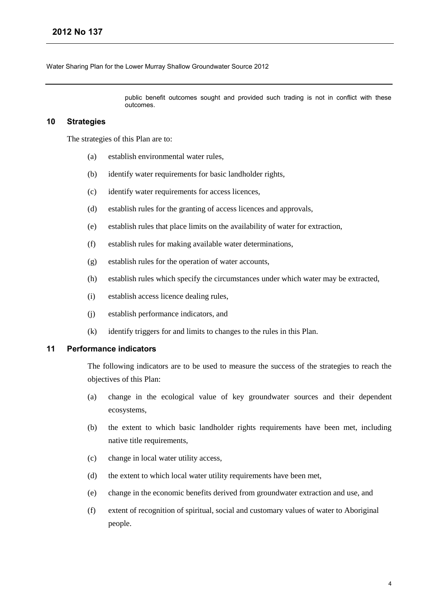public benefit outcomes sought and provided such trading is not in conflict with these outcomes.

## **10 Strategies**

The strategies of this Plan are to:

- (a) establish environmental water rules,
- (b) identify water requirements for basic landholder rights,
- (c) identify water requirements for access licences,
- (d) establish rules for the granting of access licences and approvals,
- (e) establish rules that place limits on the availability of water for extraction,
- (f) establish rules for making available water determinations,
- (g) establish rules for the operation of water accounts,
- (h) establish rules which specify the circumstances under which water may be extracted,
- (i) establish access licence dealing rules,
- (j) establish performance indicators, and
- (k) identify triggers for and limits to changes to the rules in this Plan.

## **11 Performance indicators**

The following indicators are to be used to measure the success of the strategies to reach the objectives of this Plan:

- (a) change in the ecological value of key groundwater sources and their dependent ecosystems,
- (b) the extent to which basic landholder rights requirements have been met, including native title requirements,
- (c) change in local water utility access,
- (d) the extent to which local water utility requirements have been met,
- (e) change in the economic benefits derived from groundwater extraction and use, and
- (f) extent of recognition of spiritual, social and customary values of water to Aboriginal people.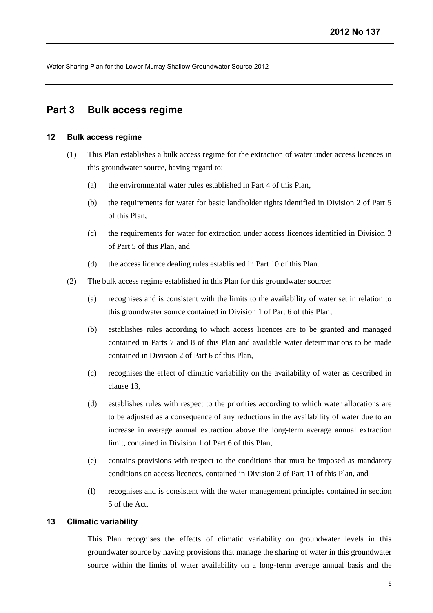## <span id="page-6-0"></span>**Part 3 Bulk access regime**

#### **12 Bulk access regime**

- (1) This Plan establishes a bulk access regime for the extraction of water under access licences in this groundwater source, having regard to:
	- (a) the environmental water rules established in Part 4 of this Plan,
	- (b) the requirements for water for basic landholder rights identified in Division 2 of Part 5 of this Plan,
	- (c) the requirements for water for extraction under access licences identified in Division 3 of Part 5 of this Plan, and
	- (d) the access licence dealing rules established in Part 10 of this Plan.
- (2) The bulk access regime established in this Plan for this groundwater source:
	- (a) recognises and is consistent with the limits to the availability of water set in relation to this groundwater source contained in Division 1 of Part 6 of this Plan,
	- (b) establishes rules according to which access licences are to be granted and managed contained in Parts 7 and 8 of this Plan and available water determinations to be made contained in Division 2 of Part 6 of this Plan,
	- (c) recognises the effect of climatic variability on the availability of water as described in clause 13,
	- (d) establishes rules with respect to the priorities according to which water allocations are to be adjusted as a consequence of any reductions in the availability of water due to an increase in average annual extraction above the long-term average annual extraction limit, contained in Division 1 of Part 6 of this Plan,
	- (e) contains provisions with respect to the conditions that must be imposed as mandatory conditions on access licences, contained in Division 2 of Part 11 of this Plan, and
	- (f) recognises and is consistent with the water management principles contained in section 5 of the Act.

## **13 Climatic variability**

This Plan recognises the effects of climatic variability on groundwater levels in this groundwater source by having provisions that manage the sharing of water in this groundwater source within the limits of water availability on a long-term average annual basis and the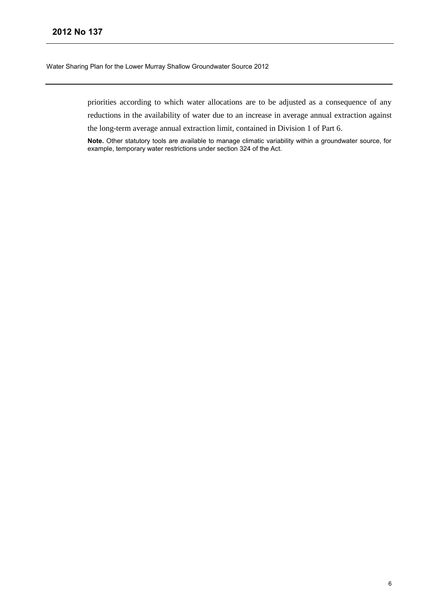priorities according to which water allocations are to be adjusted as a consequence of any reductions in the availability of water due to an increase in average annual extraction against the long-term average annual extraction limit, contained in Division 1 of Part 6.

**Note.** Other statutory tools are available to manage climatic variability within a groundwater source, for example, temporary water restrictions under section 324 of the Act.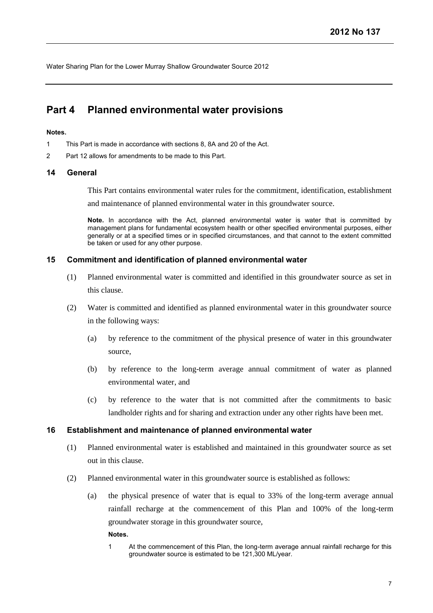## <span id="page-8-0"></span>**Part 4 Planned environmental water provisions**

## **Notes.**

- 1 This Part is made in accordance with sections 8, 8A and 20 of the Act.
- 2 Part 12 allows for amendments to be made to this Part.

## **14 General**

This Part contains environmental water rules for the commitment, identification, establishment

and maintenance of planned environmental water in this groundwater source.

**Note.** In accordance with the Act, planned environmental water is water that is committed by management plans for fundamental ecosystem health or other specified environmental purposes, either generally or at a specified times or in specified circumstances, and that cannot to the extent committed be taken or used for any other purpose.

## **15 Commitment and identification of planned environmental water**

- (1) Planned environmental water is committed and identified in this groundwater source as set in this clause.
- (2) Water is committed and identified as planned environmental water in this groundwater source in the following ways:
	- (a) by reference to the commitment of the physical presence of water in this groundwater source,
	- (b) by reference to the long-term average annual commitment of water as planned environmental water, and
	- (c) by reference to the water that is not committed after the commitments to basic landholder rights and for sharing and extraction under any other rights have been met.

## **16 Establishment and maintenance of planned environmental water**

- (1) Planned environmental water is established and maintained in this groundwater source as set out in this clause.
- (2) Planned environmental water in this groundwater source is established as follows:
	- (a) the physical presence of water that is equal to 33% of the long-term average annual rainfall recharge at the commencement of this Plan and 100% of the long-term groundwater storage in this groundwater source,

**Notes.**

1 At the commencement of this Plan, the long-term average annual rainfall recharge for this groundwater source is estimated to be 121,300 ML/year.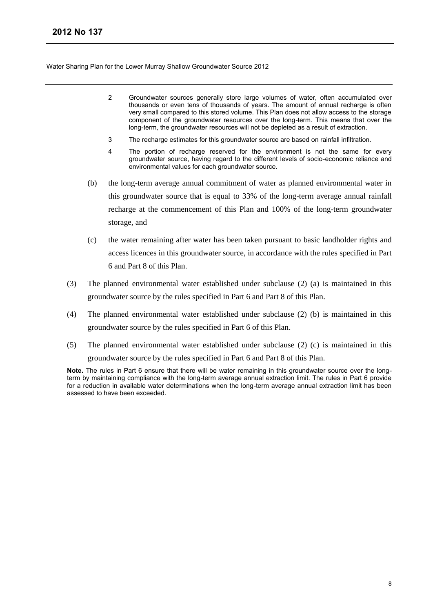- 2 Groundwater sources generally store large volumes of water, often accumulated over thousands or even tens of thousands of years. The amount of annual recharge is often very small compared to this stored volume. This Plan does not allow access to the storage component of the groundwater resources over the long-term. This means that over the long-term, the groundwater resources will not be depleted as a result of extraction.
- 3 The recharge estimates for this groundwater source are based on rainfall infiltration.
- 4 The portion of recharge reserved for the environment is not the same for every groundwater source, having regard to the different levels of socio-economic reliance and environmental values for each groundwater source.
- (b) the long-term average annual commitment of water as planned environmental water in this groundwater source that is equal to 33% of the long-term average annual rainfall recharge at the commencement of this Plan and 100% of the long-term groundwater storage, and
- (c) the water remaining after water has been taken pursuant to basic landholder rights and access licences in this groundwater source, in accordance with the rules specified in Part 6 and Part 8 of this Plan.
- (3) The planned environmental water established under subclause (2) (a) is maintained in this groundwater source by the rules specified in Part 6 and Part 8 of this Plan.
- (4) The planned environmental water established under subclause (2) (b) is maintained in this groundwater source by the rules specified in Part 6 of this Plan.
- (5) The planned environmental water established under subclause (2) (c) is maintained in this groundwater source by the rules specified in Part 6 and Part 8 of this Plan.

**Note.** The rules in Part 6 ensure that there will be water remaining in this groundwater source over the longterm by maintaining compliance with the long-term average annual extraction limit. The rules in Part 6 provide for a reduction in available water determinations when the long-term average annual extraction limit has been assessed to have been exceeded.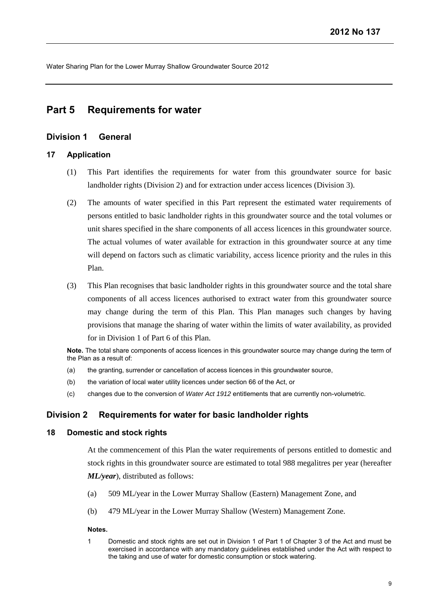## <span id="page-10-0"></span>**Part 5 Requirements for water**

## <span id="page-10-1"></span>**Division 1 General**

### **17 Application**

- (1) This Part identifies the requirements for water from this groundwater source for basic landholder rights (Division 2) and for extraction under access licences (Division 3).
- (2) The amounts of water specified in this Part represent the estimated water requirements of persons entitled to basic landholder rights in this groundwater source and the total volumes or unit shares specified in the share components of all access licences in this groundwater source. The actual volumes of water available for extraction in this groundwater source at any time will depend on factors such as climatic variability, access licence priority and the rules in this Plan.
- (3) This Plan recognises that basic landholder rights in this groundwater source and the total share components of all access licences authorised to extract water from this groundwater source may change during the term of this Plan. This Plan manages such changes by having provisions that manage the sharing of water within the limits of water availability, as provided for in Division 1 of Part 6 of this Plan.

**Note.** The total share components of access licences in this groundwater source may change during the term of the Plan as a result of:

- (a) the granting, surrender or cancellation of access licences in this groundwater source,
- (b) the variation of local water utility licences under section 66 of the Act, or
- (c) changes due to the conversion of *Water Act 1912* entitlements that are currently non-volumetric.

## <span id="page-10-2"></span>**Division 2 Requirements for water for basic landholder rights**

## **18 Domestic and stock rights**

At the commencement of this Plan the water requirements of persons entitled to domestic and stock rights in this groundwater source are estimated to total 988 megalitres per year (hereafter *ML/year*), distributed as follows:

- (a) 509 ML/year in the Lower Murray Shallow (Eastern) Management Zone, and
- (b) 479 ML/year in the Lower Murray Shallow (Western) Management Zone.

#### **Notes.**

1 Domestic and stock rights are set out in Division 1 of Part 1 of Chapter 3 of the Act and must be exercised in accordance with any mandatory guidelines established under the Act with respect to the taking and use of water for domestic consumption or stock watering.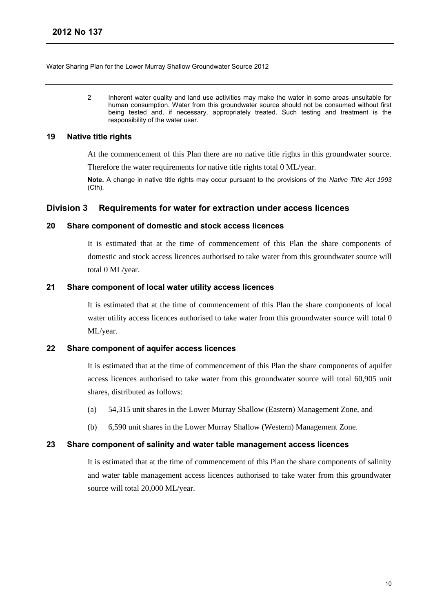2 Inherent water quality and land use activities may make the water in some areas unsuitable for human consumption. Water from this groundwater source should not be consumed without first being tested and, if necessary, appropriately treated. Such testing and treatment is the responsibility of the water user.

## **19 Native title rights**

At the commencement of this Plan there are no native title rights in this groundwater source.

Therefore the water requirements for native title rights total 0 ML/year.

**Note.** A change in native title rights may occur pursuant to the provisions of the *Native Title Act 1993*  (Cth).

## <span id="page-11-0"></span>**Division 3 Requirements for water for extraction under access licences**

### **20 Share component of domestic and stock access licences**

It is estimated that at the time of commencement of this Plan the share components of domestic and stock access licences authorised to take water from this groundwater source will total 0 ML/year.

## **21 Share component of local water utility access licences**

It is estimated that at the time of commencement of this Plan the share components of local water utility access licences authorised to take water from this groundwater source will total 0 ML/year.

## **22 Share component of aquifer access licences**

It is estimated that at the time of commencement of this Plan the share components of aquifer access licences authorised to take water from this groundwater source will total 60,905 unit shares, distributed as follows:

- (a) 54,315 unit shares in the Lower Murray Shallow (Eastern) Management Zone, and
- (b) 6,590 unit shares in the Lower Murray Shallow (Western) Management Zone.

## **23 Share component of salinity and water table management access licences**

It is estimated that at the time of commencement of this Plan the share components of salinity and water table management access licences authorised to take water from this groundwater source will total 20,000 ML/year.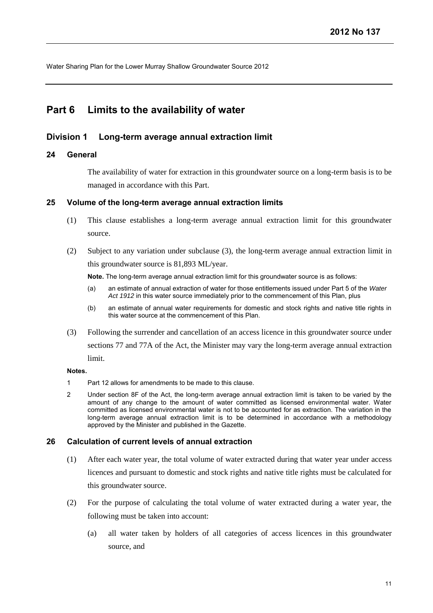## <span id="page-12-0"></span>**Part 6 Limits to the availability of water**

## <span id="page-12-1"></span>**Division 1 Long-term average annual extraction limit**

## **24 General**

The availability of water for extraction in this groundwater source on a long-term basis is to be managed in accordance with this Part.

### **25 Volume of the long-term average annual extraction limits**

- (1) This clause establishes a long-term average annual extraction limit for this groundwater source.
- (2) Subject to any variation under subclause (3), the long-term average annual extraction limit in this groundwater source is 81,893 ML/year.

**Note.** The long-term average annual extraction limit for this groundwater source is as follows:

- (a) an estimate of annual extraction of water for those entitlements issued under Part 5 of the *Water Act 1912* in this water source immediately prior to the commencement of this Plan, plus
- (b) an estimate of annual water requirements for domestic and stock rights and native title rights in this water source at the commencement of this Plan.
- (3) Following the surrender and cancellation of an access licence in this groundwater source under sections 77 and 77A of the Act, the Minister may vary the long-term average annual extraction limit.

## **Notes.**

- 1 Part 12 allows for amendments to be made to this clause.
- 2 Under section 8F of the Act, the long-term average annual extraction limit is taken to be varied by the amount of any change to the amount of water committed as licensed environmental water. Water committed as licensed environmental water is not to be accounted for as extraction. The variation in the long-term average annual extraction limit is to be determined in accordance with a methodology approved by the Minister and published in the Gazette.

## **26 Calculation of current levels of annual extraction**

- (1) After each water year, the total volume of water extracted during that water year under access licences and pursuant to domestic and stock rights and native title rights must be calculated for this groundwater source.
- (2) For the purpose of calculating the total volume of water extracted during a water year, the following must be taken into account:
	- (a) all water taken by holders of all categories of access licences in this groundwater source, and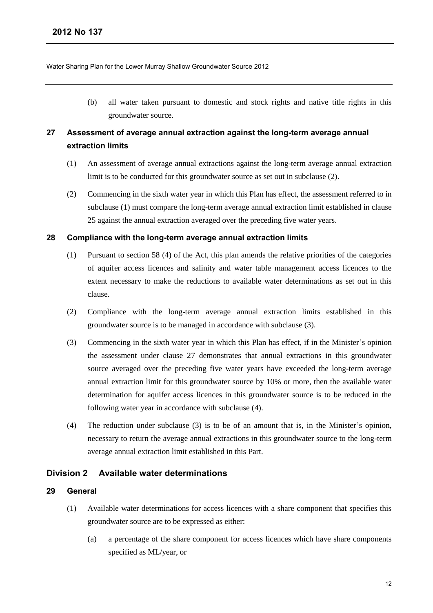(b) all water taken pursuant to domestic and stock rights and native title rights in this groundwater source.

## **27 Assessment of average annual extraction against the long-term average annual extraction limits**

- (1) An assessment of average annual extractions against the long-term average annual extraction limit is to be conducted for this groundwater source as set out in subclause (2).
- (2) Commencing in the sixth water year in which this Plan has effect, the assessment referred to in subclause (1) must compare the long-term average annual extraction limit established in clause 25 against the annual extraction averaged over the preceding five water years.

## **28 Compliance with the long-term average annual extraction limits**

- (1) Pursuant to section 58 (4) of the Act, this plan amends the relative priorities of the categories of aquifer access licences and salinity and water table management access licences to the extent necessary to make the reductions to available water determinations as set out in this clause.
- (2) Compliance with the long-term average annual extraction limits established in this groundwater source is to be managed in accordance with subclause (3).
- (3) Commencing in the sixth water year in which this Plan has effect, if in the Minister's opinion the assessment under clause 27 demonstrates that annual extractions in this groundwater source averaged over the preceding five water years have exceeded the long-term average annual extraction limit for this groundwater source by 10% or more, then the available water determination for aquifer access licences in this groundwater source is to be reduced in the following water year in accordance with subclause (4).
- (4) The reduction under subclause (3) is to be of an amount that is, in the Minister's opinion, necessary to return the average annual extractions in this groundwater source to the long-term average annual extraction limit established in this Part.

## <span id="page-13-0"></span>**Division 2 Available water determinations**

## **29 General**

- (1) Available water determinations for access licences with a share component that specifies this groundwater source are to be expressed as either:
	- (a) a percentage of the share component for access licences which have share components specified as ML/year, or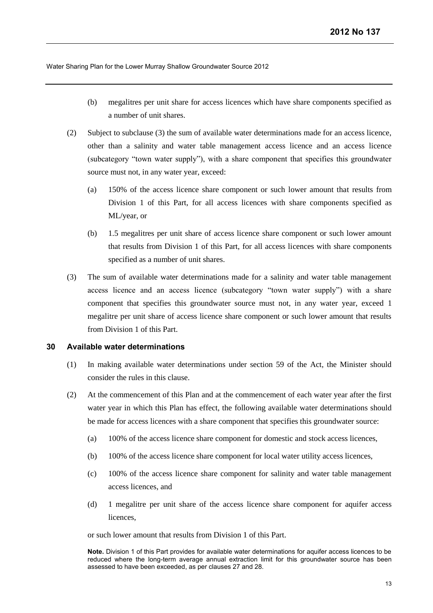- (b) megalitres per unit share for access licences which have share components specified as a number of unit shares.
- (2) Subject to subclause (3) the sum of available water determinations made for an access licence, other than a salinity and water table management access licence and an access licence (subcategory "town water supply"), with a share component that specifies this groundwater source must not, in any water year, exceed:
	- (a) 150% of the access licence share component or such lower amount that results from Division 1 of this Part, for all access licences with share components specified as ML/year, or
	- (b) 1.5 megalitres per unit share of access licence share component or such lower amount that results from Division 1 of this Part, for all access licences with share components specified as a number of unit shares.
- (3) The sum of available water determinations made for a salinity and water table management access licence and an access licence (subcategory "town water supply") with a share component that specifies this groundwater source must not, in any water year, exceed 1 megalitre per unit share of access licence share component or such lower amount that results from Division 1 of this Part.

## **30 Available water determinations**

- (1) In making available water determinations under section 59 of the Act, the Minister should consider the rules in this clause.
- (2) At the commencement of this Plan and at the commencement of each water year after the first water year in which this Plan has effect, the following available water determinations should be made for access licences with a share component that specifies this groundwater source:
	- (a) 100% of the access licence share component for domestic and stock access licences,
	- (b) 100% of the access licence share component for local water utility access licences,
	- (c) 100% of the access licence share component for salinity and water table management access licences, and
	- (d) 1 megalitre per unit share of the access licence share component for aquifer access licences,

or such lower amount that results from Division 1 of this Part.

**Note.** Division 1 of this Part provides for available water determinations for aquifer access licences to be reduced where the long-term average annual extraction limit for this groundwater source has been assessed to have been exceeded, as per clauses 27 and 28.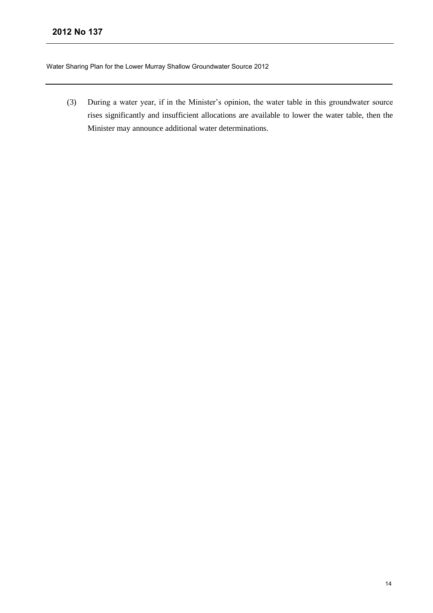(3) During a water year, if in the Minister's opinion, the water table in this groundwater source rises significantly and insufficient allocations are available to lower the water table, then the Minister may announce additional water determinations.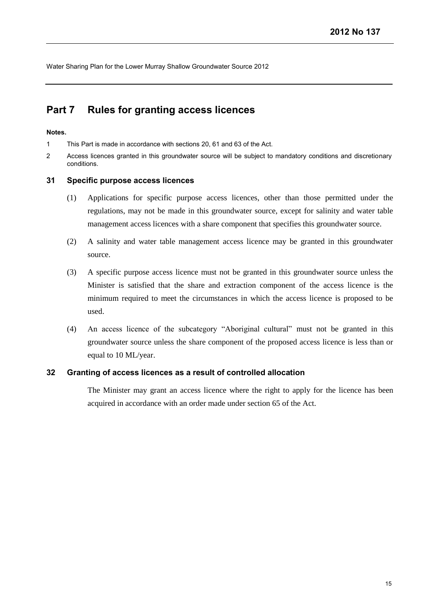## <span id="page-16-0"></span>**Part 7 Rules for granting access licences**

#### **Notes.**

1 This Part is made in accordance with sections 20, 61 and 63 of the Act.

2 Access licences granted in this groundwater source will be subject to mandatory conditions and discretionary conditions.

### **31 Specific purpose access licences**

- (1) Applications for specific purpose access licences, other than those permitted under the regulations, may not be made in this groundwater source, except for salinity and water table management access licences with a share component that specifies this groundwater source.
- (2) A salinity and water table management access licence may be granted in this groundwater source.
- (3) A specific purpose access licence must not be granted in this groundwater source unless the Minister is satisfied that the share and extraction component of the access licence is the minimum required to meet the circumstances in which the access licence is proposed to be used.
- (4) An access licence of the subcategory "Aboriginal cultural" must not be granted in this groundwater source unless the share component of the proposed access licence is less than or equal to 10 ML/year.

## **32 Granting of access licences as a result of controlled allocation**

The Minister may grant an access licence where the right to apply for the licence has been acquired in accordance with an order made under section 65 of the Act.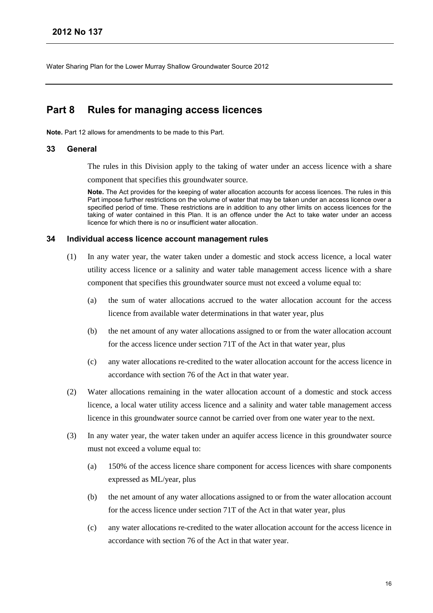## <span id="page-17-0"></span>**Part 8 Rules for managing access licences**

**Note.** Part 12 allows for amendments to be made to this Part.

### **33 General**

The rules in this Division apply to the taking of water under an access licence with a share component that specifies this groundwater source.

**Note.** The Act provides for the keeping of water allocation accounts for access licences. The rules in this Part impose further restrictions on the volume of water that may be taken under an access licence over a specified period of time. These restrictions are in addition to any other limits on access licences for the taking of water contained in this Plan. It is an offence under the Act to take water under an access licence for which there is no or insufficient water allocation.

#### **34 Individual access licence account management rules**

- (1) In any water year, the water taken under a domestic and stock access licence, a local water utility access licence or a salinity and water table management access licence with a share component that specifies this groundwater source must not exceed a volume equal to:
	- (a) the sum of water allocations accrued to the water allocation account for the access licence from available water determinations in that water year, plus
	- (b) the net amount of any water allocations assigned to or from the water allocation account for the access licence under section 71T of the Act in that water year, plus
	- (c) any water allocations re-credited to the water allocation account for the access licence in accordance with section 76 of the Act in that water year.
- (2) Water allocations remaining in the water allocation account of a domestic and stock access licence, a local water utility access licence and a salinity and water table management access licence in this groundwater source cannot be carried over from one water year to the next.
- (3) In any water year, the water taken under an aquifer access licence in this groundwater source must not exceed a volume equal to:
	- (a) 150% of the access licence share component for access licences with share components expressed as ML/year, plus
	- (b) the net amount of any water allocations assigned to or from the water allocation account for the access licence under section 71T of the Act in that water year, plus
	- (c) any water allocations re-credited to the water allocation account for the access licence in accordance with section 76 of the Act in that water year.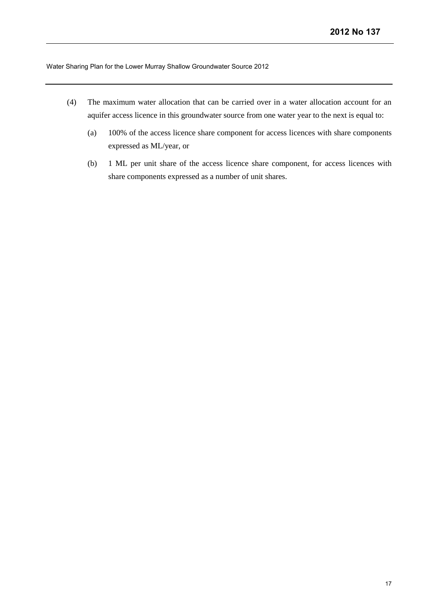- (4) The maximum water allocation that can be carried over in a water allocation account for an aquifer access licence in this groundwater source from one water year to the next is equal to:
	- (a) 100% of the access licence share component for access licences with share components expressed as ML/year, or
	- (b) 1 ML per unit share of the access licence share component, for access licences with share components expressed as a number of unit shares.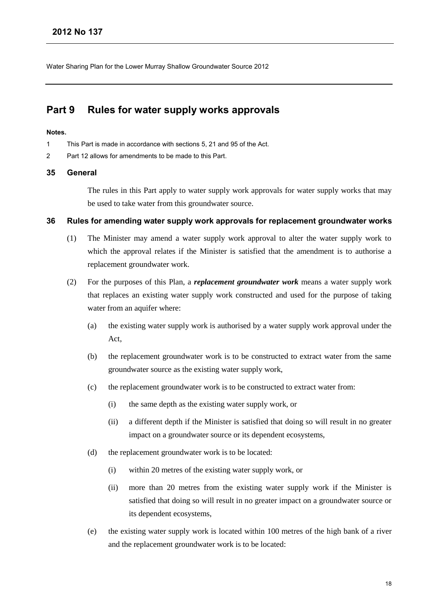## <span id="page-19-0"></span>**Part 9 Rules for water supply works approvals**

#### **Notes.**

- 1 This Part is made in accordance with sections 5, 21 and 95 of the Act.
- 2 Part 12 allows for amendments to be made to this Part.

### **35 General**

The rules in this Part apply to water supply work approvals for water supply works that may be used to take water from this groundwater source.

#### **36 Rules for amending water supply work approvals for replacement groundwater works**

- (1) The Minister may amend a water supply work approval to alter the water supply work to which the approval relates if the Minister is satisfied that the amendment is to authorise a replacement groundwater work.
- (2) For the purposes of this Plan, a *replacement groundwater work* means a water supply work that replaces an existing water supply work constructed and used for the purpose of taking water from an aquifer where:
	- (a) the existing water supply work is authorised by a water supply work approval under the Act,
	- (b) the replacement groundwater work is to be constructed to extract water from the same groundwater source as the existing water supply work,
	- (c) the replacement groundwater work is to be constructed to extract water from:
		- (i) the same depth as the existing water supply work, or
		- (ii) a different depth if the Minister is satisfied that doing so will result in no greater impact on a groundwater source or its dependent ecosystems,
	- (d) the replacement groundwater work is to be located:
		- (i) within 20 metres of the existing water supply work, or
		- (ii) more than 20 metres from the existing water supply work if the Minister is satisfied that doing so will result in no greater impact on a groundwater source or its dependent ecosystems,
	- (e) the existing water supply work is located within 100 metres of the high bank of a river and the replacement groundwater work is to be located: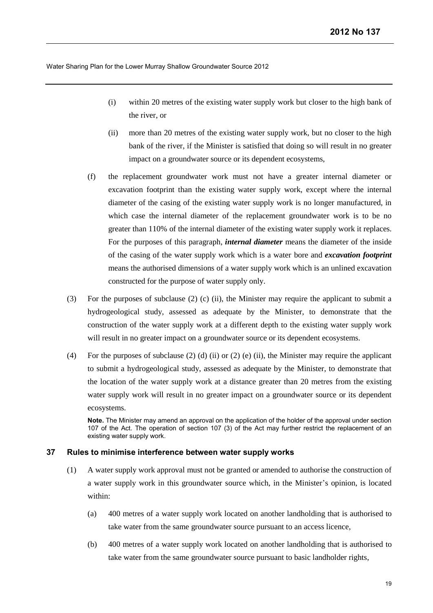- (i) within 20 metres of the existing water supply work but closer to the high bank of the river, or
- (ii) more than 20 metres of the existing water supply work, but no closer to the high bank of the river, if the Minister is satisfied that doing so will result in no greater impact on a groundwater source or its dependent ecosystems,
- (f) the replacement groundwater work must not have a greater internal diameter or excavation footprint than the existing water supply work, except where the internal diameter of the casing of the existing water supply work is no longer manufactured, in which case the internal diameter of the replacement groundwater work is to be no greater than 110% of the internal diameter of the existing water supply work it replaces. For the purposes of this paragraph, *internal diameter* means the diameter of the inside of the casing of the water supply work which is a water bore and *excavation footprint* means the authorised dimensions of a water supply work which is an unlined excavation constructed for the purpose of water supply only.
- (3) For the purposes of subclause (2) (c) (ii), the Minister may require the applicant to submit a hydrogeological study, assessed as adequate by the Minister, to demonstrate that the construction of the water supply work at a different depth to the existing water supply work will result in no greater impact on a groundwater source or its dependent ecosystems.
- (4) For the purposes of subclause (2) (d) (ii) or (2) (e) (ii), the Minister may require the applicant to submit a hydrogeological study, assessed as adequate by the Minister, to demonstrate that the location of the water supply work at a distance greater than 20 metres from the existing water supply work will result in no greater impact on a groundwater source or its dependent ecosystems.

**Note.** The Minister may amend an approval on the application of the holder of the approval under section 107 of the Act. The operation of section 107 (3) of the Act may further restrict the replacement of an existing water supply work.

#### **37 Rules to minimise interference between water supply works**

- (1) A water supply work approval must not be granted or amended to authorise the construction of a water supply work in this groundwater source which, in the Minister's opinion, is located within:
	- (a) 400 metres of a water supply work located on another landholding that is authorised to take water from the same groundwater source pursuant to an access licence,
	- (b) 400 metres of a water supply work located on another landholding that is authorised to take water from the same groundwater source pursuant to basic landholder rights,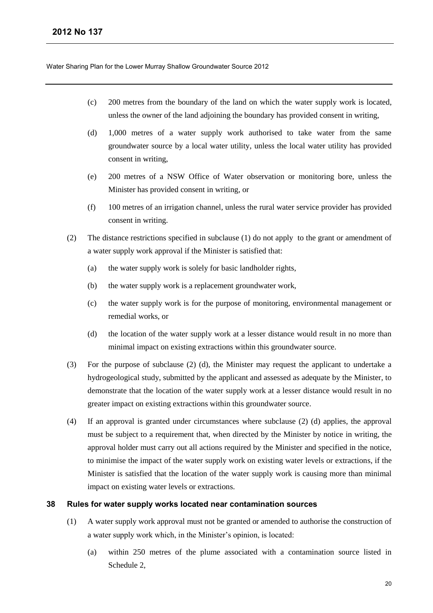- (c) 200 metres from the boundary of the land on which the water supply work is located, unless the owner of the land adjoining the boundary has provided consent in writing,
- (d) 1,000 metres of a water supply work authorised to take water from the same groundwater source by a local water utility, unless the local water utility has provided consent in writing,
- (e) 200 metres of a NSW Office of Water observation or monitoring bore, unless the Minister has provided consent in writing, or
- (f) 100 metres of an irrigation channel, unless the rural water service provider has provided consent in writing.
- (2) The distance restrictions specified in subclause (1) do not apply to the grant or amendment of a water supply work approval if the Minister is satisfied that:
	- (a) the water supply work is solely for basic landholder rights,
	- (b) the water supply work is a replacement groundwater work,
	- (c) the water supply work is for the purpose of monitoring, environmental management or remedial works, or
	- (d) the location of the water supply work at a lesser distance would result in no more than minimal impact on existing extractions within this groundwater source.
- (3) For the purpose of subclause (2) (d), the Minister may request the applicant to undertake a hydrogeological study, submitted by the applicant and assessed as adequate by the Minister, to demonstrate that the location of the water supply work at a lesser distance would result in no greater impact on existing extractions within this groundwater source.
- (4) If an approval is granted under circumstances where subclause (2) (d) applies, the approval must be subject to a requirement that, when directed by the Minister by notice in writing, the approval holder must carry out all actions required by the Minister and specified in the notice, to minimise the impact of the water supply work on existing water levels or extractions, if the Minister is satisfied that the location of the water supply work is causing more than minimal impact on existing water levels or extractions.

#### **38 Rules for water supply works located near contamination sources**

- (1) A water supply work approval must not be granted or amended to authorise the construction of a water supply work which, in the Minister's opinion, is located:
	- (a) within 250 metres of the plume associated with a contamination source listed in Schedule 2,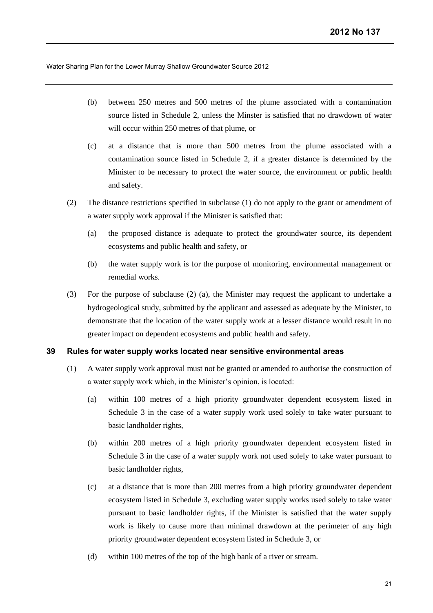- (b) between 250 metres and 500 metres of the plume associated with a contamination source listed in Schedule 2, unless the Minster is satisfied that no drawdown of water will occur within 250 metres of that plume, or
- (c) at a distance that is more than 500 metres from the plume associated with a contamination source listed in Schedule 2, if a greater distance is determined by the Minister to be necessary to protect the water source, the environment or public health and safety.
- (2) The distance restrictions specified in subclause (1) do not apply to the grant or amendment of a water supply work approval if the Minister is satisfied that:
	- (a) the proposed distance is adequate to protect the groundwater source, its dependent ecosystems and public health and safety, or
	- (b) the water supply work is for the purpose of monitoring, environmental management or remedial works.
- (3) For the purpose of subclause (2) (a), the Minister may request the applicant to undertake a hydrogeological study, submitted by the applicant and assessed as adequate by the Minister, to demonstrate that the location of the water supply work at a lesser distance would result in no greater impact on dependent ecosystems and public health and safety.

## **39 Rules for water supply works located near sensitive environmental areas**

- (1) A water supply work approval must not be granted or amended to authorise the construction of a water supply work which, in the Minister's opinion, is located:
	- (a) within 100 metres of a high priority groundwater dependent ecosystem listed in Schedule 3 in the case of a water supply work used solely to take water pursuant to basic landholder rights,
	- (b) within 200 metres of a high priority groundwater dependent ecosystem listed in Schedule 3 in the case of a water supply work not used solely to take water pursuant to basic landholder rights,
	- (c) at a distance that is more than 200 metres from a high priority groundwater dependent ecosystem listed in Schedule 3, excluding water supply works used solely to take water pursuant to basic landholder rights, if the Minister is satisfied that the water supply work is likely to cause more than minimal drawdown at the perimeter of any high priority groundwater dependent ecosystem listed in Schedule 3, or
	- (d) within 100 metres of the top of the high bank of a river or stream.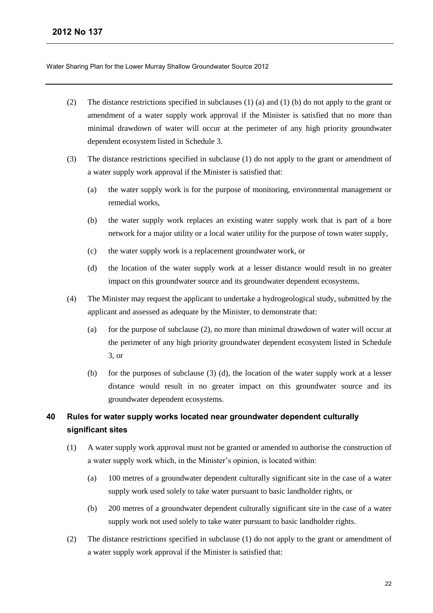- (2) The distance restrictions specified in subclauses (1) (a) and (1) (b) do not apply to the grant or amendment of a water supply work approval if the Minister is satisfied that no more than minimal drawdown of water will occur at the perimeter of any high priority groundwater dependent ecosystem listed in Schedule 3.
- (3) The distance restrictions specified in subclause (1) do not apply to the grant or amendment of a water supply work approval if the Minister is satisfied that:
	- (a) the water supply work is for the purpose of monitoring, environmental management or remedial works,
	- (b) the water supply work replaces an existing water supply work that is part of a bore network for a major utility or a local water utility for the purpose of town water supply,
	- (c) the water supply work is a replacement groundwater work, or
	- (d) the location of the water supply work at a lesser distance would result in no greater impact on this groundwater source and its groundwater dependent ecosystems.
- (4) The Minister may request the applicant to undertake a hydrogeological study, submitted by the applicant and assessed as adequate by the Minister, to demonstrate that:
	- (a) for the purpose of subclause (2), no more than minimal drawdown of water will occur at the perimeter of any high priority groundwater dependent ecosystem listed in Schedule 3, or
	- (b) for the purposes of subclause (3) (d), the location of the water supply work at a lesser distance would result in no greater impact on this groundwater source and its groundwater dependent ecosystems.

## **40 Rules for water supply works located near groundwater dependent culturally significant sites**

- (1) A water supply work approval must not be granted or amended to authorise the construction of a water supply work which, in the Minister's opinion, is located within:
	- (a) 100 metres of a groundwater dependent culturally significant site in the case of a water supply work used solely to take water pursuant to basic landholder rights, or
	- (b) 200 metres of a groundwater dependent culturally significant site in the case of a water supply work not used solely to take water pursuant to basic landholder rights.
- (2) The distance restrictions specified in subclause (1) do not apply to the grant or amendment of a water supply work approval if the Minister is satisfied that: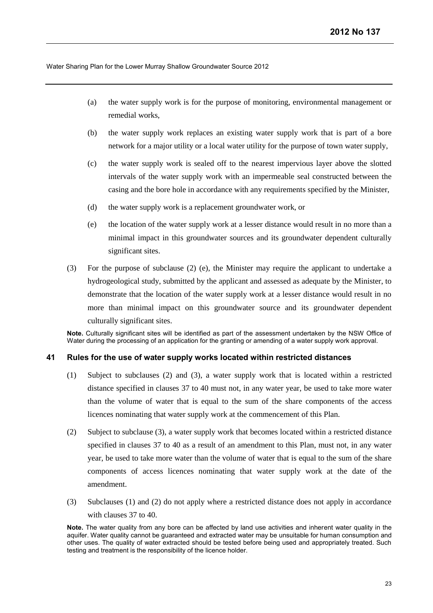- (a) the water supply work is for the purpose of monitoring, environmental management or remedial works,
- (b) the water supply work replaces an existing water supply work that is part of a bore network for a major utility or a local water utility for the purpose of town water supply,
- (c) the water supply work is sealed off to the nearest impervious layer above the slotted intervals of the water supply work with an impermeable seal constructed between the casing and the bore hole in accordance with any requirements specified by the Minister,
- (d) the water supply work is a replacement groundwater work, or
- (e) the location of the water supply work at a lesser distance would result in no more than a minimal impact in this groundwater sources and its groundwater dependent culturally significant sites.
- (3) For the purpose of subclause (2) (e), the Minister may require the applicant to undertake a hydrogeological study, submitted by the applicant and assessed as adequate by the Minister, to demonstrate that the location of the water supply work at a lesser distance would result in no more than minimal impact on this groundwater source and its groundwater dependent culturally significant sites.

**Note.** Culturally significant sites will be identified as part of the assessment undertaken by the NSW Office of Water during the processing of an application for the granting or amending of a water supply work approval.

### **41 Rules for the use of water supply works located within restricted distances**

- (1) Subject to subclauses (2) and (3), a water supply work that is located within a restricted distance specified in clauses 37 to 40 must not, in any water year, be used to take more water than the volume of water that is equal to the sum of the share components of the access licences nominating that water supply work at the commencement of this Plan.
- (2) Subject to subclause (3), a water supply work that becomes located within a restricted distance specified in clauses 37 to 40 as a result of an amendment to this Plan, must not, in any water year, be used to take more water than the volume of water that is equal to the sum of the share components of access licences nominating that water supply work at the date of the amendment.
- (3) Subclauses (1) and (2) do not apply where a restricted distance does not apply in accordance with clauses 37 to 40.

**Note.** The water quality from any bore can be affected by land use activities and inherent water quality in the aquifer. Water quality cannot be guaranteed and extracted water may be unsuitable for human consumption and other uses. The quality of water extracted should be tested before being used and appropriately treated. Such testing and treatment is the responsibility of the licence holder.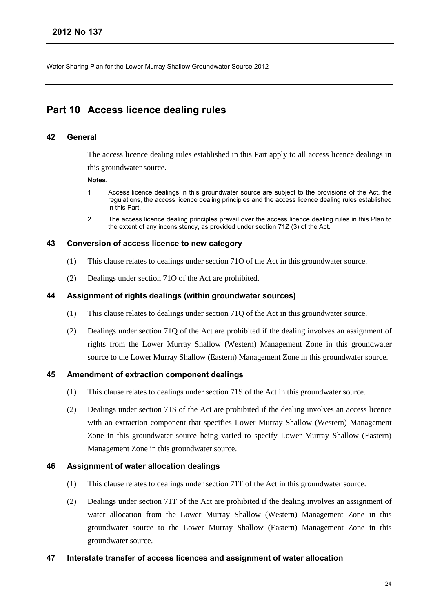## <span id="page-25-0"></span>**Part 10 Access licence dealing rules**

## **42 General**

The access licence dealing rules established in this Part apply to all access licence dealings in this groundwater source.

#### **Notes.**

- 1 Access licence dealings in this groundwater source are subject to the provisions of the Act, the regulations, the access licence dealing principles and the access licence dealing rules established in this Part.
- 2 The access licence dealing principles prevail over the access licence dealing rules in this Plan to the extent of any inconsistency, as provided under section 71Z (3) of the Act.

### **43 Conversion of access licence to new category**

- (1) This clause relates to dealings under section 71O of the Act in this groundwater source.
- (2) Dealings under section 71O of the Act are prohibited.

### **44 Assignment of rights dealings (within groundwater sources)**

- (1) This clause relates to dealings under section 71Q of the Act in this groundwater source.
- (2) Dealings under section 71Q of the Act are prohibited if the dealing involves an assignment of rights from the Lower Murray Shallow (Western) Management Zone in this groundwater source to the Lower Murray Shallow (Eastern) Management Zone in this groundwater source.

## **45 Amendment of extraction component dealings**

- (1) This clause relates to dealings under section 71S of the Act in this groundwater source.
- (2) Dealings under section 71S of the Act are prohibited if the dealing involves an access licence with an extraction component that specifies Lower Murray Shallow (Western) Management Zone in this groundwater source being varied to specify Lower Murray Shallow (Eastern) Management Zone in this groundwater source.

## **46 Assignment of water allocation dealings**

- (1) This clause relates to dealings under section 71T of the Act in this groundwater source.
- (2) Dealings under section 71T of the Act are prohibited if the dealing involves an assignment of water allocation from the Lower Murray Shallow (Western) Management Zone in this groundwater source to the Lower Murray Shallow (Eastern) Management Zone in this groundwater source.

## **47 Interstate transfer of access licences and assignment of water allocation**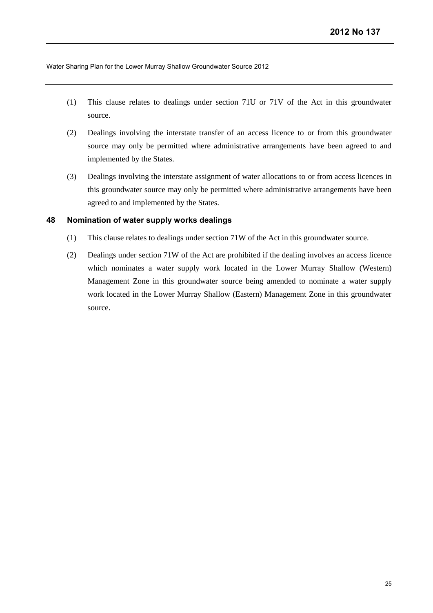- (1) This clause relates to dealings under section 71U or 71V of the Act in this groundwater source.
- (2) Dealings involving the interstate transfer of an access licence to or from this groundwater source may only be permitted where administrative arrangements have been agreed to and implemented by the States.
- (3) Dealings involving the interstate assignment of water allocations to or from access licences in this groundwater source may only be permitted where administrative arrangements have been agreed to and implemented by the States.

## **48 Nomination of water supply works dealings**

- (1) This clause relates to dealings under section 71W of the Act in this groundwater source.
- (2) Dealings under section 71W of the Act are prohibited if the dealing involves an access licence which nominates a water supply work located in the Lower Murray Shallow (Western) Management Zone in this groundwater source being amended to nominate a water supply work located in the Lower Murray Shallow (Eastern) Management Zone in this groundwater source.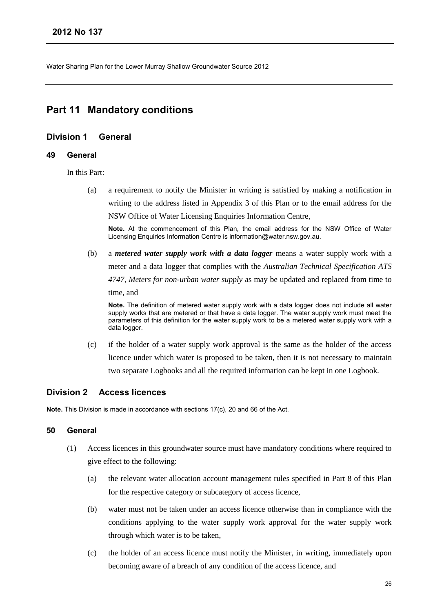## <span id="page-27-0"></span>**Part 11 Mandatory conditions**

## <span id="page-27-1"></span>**Division 1 General**

#### **49 General**

In this Part:

(a) a requirement to notify the Minister in writing is satisfied by making a notification in writing to the address listed in Appendix 3 of this Plan or to the email address for the NSW Office of Water Licensing Enquiries Information Centre,

**Note.** At the commencement of this Plan, the email address for the NSW Office of Water Licensing Enquiries Information Centre is information@water.nsw.gov.au.

(b) a *metered water supply work with a data logger* means a water supply work with a meter and a data logger that complies with the *Australian Technical Specification ATS 4747, Meters for non-urban water supply* as may be updated and replaced from time to time, and

**Note.** The definition of metered water supply work with a data logger does not include all water supply works that are metered or that have a data logger. The water supply work must meet the parameters of this definition for the water supply work to be a metered water supply work with a data logger.

(c) if the holder of a water supply work approval is the same as the holder of the access licence under which water is proposed to be taken, then it is not necessary to maintain two separate Logbooks and all the required information can be kept in one Logbook.

## <span id="page-27-2"></span>**Division 2 Access licences**

**Note.** This Division is made in accordance with sections 17(c), 20 and 66 of the Act.

## **50 General**

- (1) Access licences in this groundwater source must have mandatory conditions where required to give effect to the following:
	- (a) the relevant water allocation account management rules specified in Part 8 of this Plan for the respective category or subcategory of access licence,
	- (b) water must not be taken under an access licence otherwise than in compliance with the conditions applying to the water supply work approval for the water supply work through which water is to be taken,
	- (c) the holder of an access licence must notify the Minister, in writing, immediately upon becoming aware of a breach of any condition of the access licence, and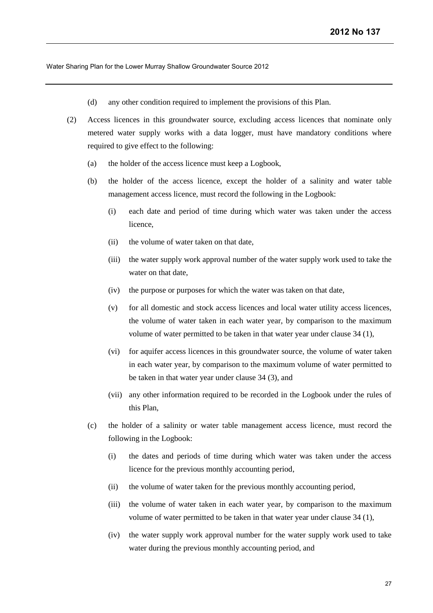- (d) any other condition required to implement the provisions of this Plan.
- (2) Access licences in this groundwater source, excluding access licences that nominate only metered water supply works with a data logger, must have mandatory conditions where required to give effect to the following:
	- (a) the holder of the access licence must keep a Logbook,
	- (b) the holder of the access licence, except the holder of a salinity and water table management access licence, must record the following in the Logbook:
		- (i) each date and period of time during which water was taken under the access licence,
		- (ii) the volume of water taken on that date,
		- (iii) the water supply work approval number of the water supply work used to take the water on that date,
		- (iv) the purpose or purposes for which the water was taken on that date,
		- (v) for all domestic and stock access licences and local water utility access licences, the volume of water taken in each water year, by comparison to the maximum volume of water permitted to be taken in that water year under clause 34 (1),
		- (vi) for aquifer access licences in this groundwater source, the volume of water taken in each water year, by comparison to the maximum volume of water permitted to be taken in that water year under clause 34 (3), and
		- (vii) any other information required to be recorded in the Logbook under the rules of this Plan,
	- (c) the holder of a salinity or water table management access licence, must record the following in the Logbook:
		- (i) the dates and periods of time during which water was taken under the access licence for the previous monthly accounting period,
		- (ii) the volume of water taken for the previous monthly accounting period,
		- (iii) the volume of water taken in each water year, by comparison to the maximum volume of water permitted to be taken in that water year under clause 34 (1),
		- (iv) the water supply work approval number for the water supply work used to take water during the previous monthly accounting period, and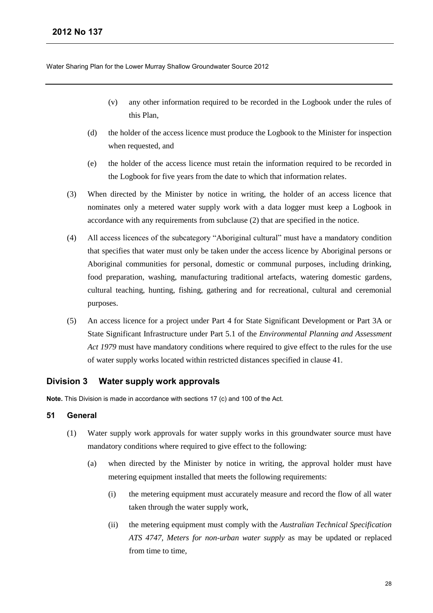- (v) any other information required to be recorded in the Logbook under the rules of this Plan,
- (d) the holder of the access licence must produce the Logbook to the Minister for inspection when requested, and
- (e) the holder of the access licence must retain the information required to be recorded in the Logbook for five years from the date to which that information relates.
- (3) When directed by the Minister by notice in writing, the holder of an access licence that nominates only a metered water supply work with a data logger must keep a Logbook in accordance with any requirements from subclause (2) that are specified in the notice.
- (4) All access licences of the subcategory "Aboriginal cultural" must have a mandatory condition that specifies that water must only be taken under the access licence by Aboriginal persons or Aboriginal communities for personal, domestic or communal purposes, including drinking, food preparation, washing, manufacturing traditional artefacts, watering domestic gardens, cultural teaching, hunting, fishing, gathering and for recreational, cultural and ceremonial purposes.
- (5) An access licence for a project under Part 4 for State Significant Development or Part 3A or State Significant Infrastructure under Part 5.1 of the *Environmental Planning and Assessment Act 1979* must have mandatory conditions where required to give effect to the rules for the use of water supply works located within restricted distances specified in clause 41.

## <span id="page-29-0"></span>**Division 3 Water supply work approvals**

**Note.** This Division is made in accordance with sections 17 (c) and 100 of the Act.

## **51 General**

- (1) Water supply work approvals for water supply works in this groundwater source must have mandatory conditions where required to give effect to the following:
	- (a) when directed by the Minister by notice in writing, the approval holder must have metering equipment installed that meets the following requirements:
		- (i) the metering equipment must accurately measure and record the flow of all water taken through the water supply work,
		- (ii) the metering equipment must comply with the *Australian Technical Specification ATS 4747, Meters for non-urban water supply* as may be updated or replaced from time to time,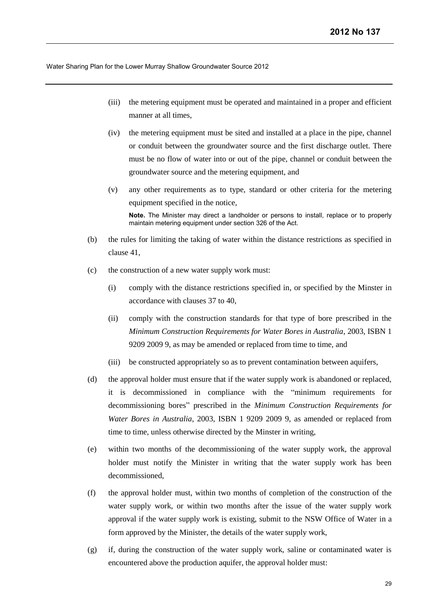- (iii) the metering equipment must be operated and maintained in a proper and efficient manner at all times,
- (iv) the metering equipment must be sited and installed at a place in the pipe, channel or conduit between the groundwater source and the first discharge outlet. There must be no flow of water into or out of the pipe, channel or conduit between the groundwater source and the metering equipment, and
- (v) any other requirements as to type, standard or other criteria for the metering equipment specified in the notice, **Note.** The Minister may direct a landholder or persons to install, replace or to properly
- (b) the rules for limiting the taking of water within the distance restrictions as specified in clause 41,

maintain metering equipment under section 326 of the Act.

- (c) the construction of a new water supply work must:
	- (i) comply with the distance restrictions specified in, or specified by the Minster in accordance with clauses 37 to 40,
	- (ii) comply with the construction standards for that type of bore prescribed in the *Minimum Construction Requirements for Water Bores in Australia*, 2003, ISBN 1 9209 2009 9, as may be amended or replaced from time to time, and
	- (iii) be constructed appropriately so as to prevent contamination between aquifers,
- (d) the approval holder must ensure that if the water supply work is abandoned or replaced, it is decommissioned in compliance with the "minimum requirements for decommissioning bores" prescribed in the *Minimum Construction Requirements for Water Bores in Australia*, 2003, ISBN 1 9209 2009 9, as amended or replaced from time to time, unless otherwise directed by the Minster in writing,
- (e) within two months of the decommissioning of the water supply work, the approval holder must notify the Minister in writing that the water supply work has been decommissioned,
- (f) the approval holder must, within two months of completion of the construction of the water supply work, or within two months after the issue of the water supply work approval if the water supply work is existing, submit to the NSW Office of Water in a form approved by the Minister, the details of the water supply work,
- (g) if, during the construction of the water supply work, saline or contaminated water is encountered above the production aquifer, the approval holder must: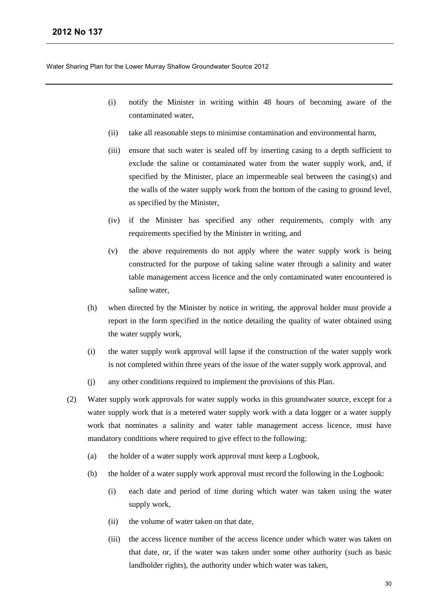- (i) notify the Minister in writing within 48 hours of becoming aware of the contaminated water,
- (ii) take all reasonable steps to minimise contamination and environmental harm,
- (iii) ensure that such water is sealed off by inserting casing to a depth sufficient to exclude the saline or contaminated water from the water supply work, and, if specified by the Minister, place an impermeable seal between the casing(s) and the walls of the water supply work from the bottom of the casing to ground level, as specified by the Minister,
- (iv) if the Minister has specified any other requirements, comply with any requirements specified by the Minister in writing, and
- (v) the above requirements do not apply where the water supply work is being constructed for the purpose of taking saline water through a salinity and water table management access licence and the only contaminated water encountered is saline water,
- (h) when directed by the Minister by notice in writing, the approval holder must provide a report in the form specified in the notice detailing the quality of water obtained using the water supply work,
- (i) the water supply work approval will lapse if the construction of the water supply work is not completed within three years of the issue of the water supply work approval, and
- (j) any other conditions required to implement the provisions of this Plan.
- (2) Water supply work approvals for water supply works in this groundwater source, except for a water supply work that is a metered water supply work with a data logger or a water supply work that nominates a salinity and water table management access licence, must have mandatory conditions where required to give effect to the following:
	- (a) the holder of a water supply work approval must keep a Logbook,
	- (b) the holder of a water supply work approval must record the following in the Logbook:
		- (i) each date and period of time during which water was taken using the water supply work,
		- (ii) the volume of water taken on that date,
		- (iii) the access licence number of the access licence under which water was taken on that date, or, if the water was taken under some other authority (such as basic landholder rights), the authority under which water was taken,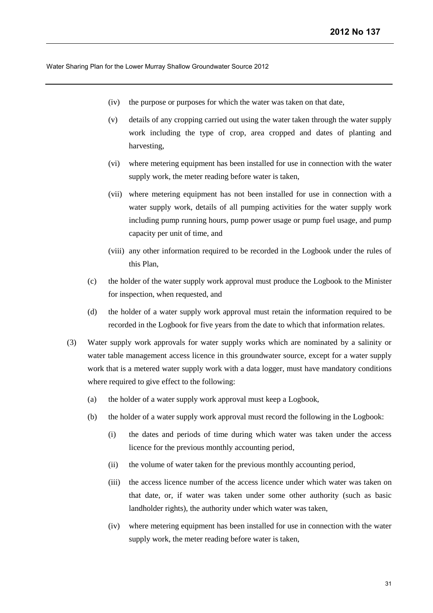- (iv) the purpose or purposes for which the water was taken on that date,
- (v) details of any cropping carried out using the water taken through the water supply work including the type of crop, area cropped and dates of planting and harvesting,
- (vi) where metering equipment has been installed for use in connection with the water supply work, the meter reading before water is taken,
- (vii) where metering equipment has not been installed for use in connection with a water supply work, details of all pumping activities for the water supply work including pump running hours, pump power usage or pump fuel usage, and pump capacity per unit of time, and
- (viii) any other information required to be recorded in the Logbook under the rules of this Plan,
- (c) the holder of the water supply work approval must produce the Logbook to the Minister for inspection, when requested, and
- (d) the holder of a water supply work approval must retain the information required to be recorded in the Logbook for five years from the date to which that information relates.
- (3) Water supply work approvals for water supply works which are nominated by a salinity or water table management access licence in this groundwater source, except for a water supply work that is a metered water supply work with a data logger, must have mandatory conditions where required to give effect to the following:
	- (a) the holder of a water supply work approval must keep a Logbook,
	- (b) the holder of a water supply work approval must record the following in the Logbook:
		- (i) the dates and periods of time during which water was taken under the access licence for the previous monthly accounting period,
		- (ii) the volume of water taken for the previous monthly accounting period,
		- (iii) the access licence number of the access licence under which water was taken on that date, or, if water was taken under some other authority (such as basic landholder rights), the authority under which water was taken,
		- (iv) where metering equipment has been installed for use in connection with the water supply work, the meter reading before water is taken,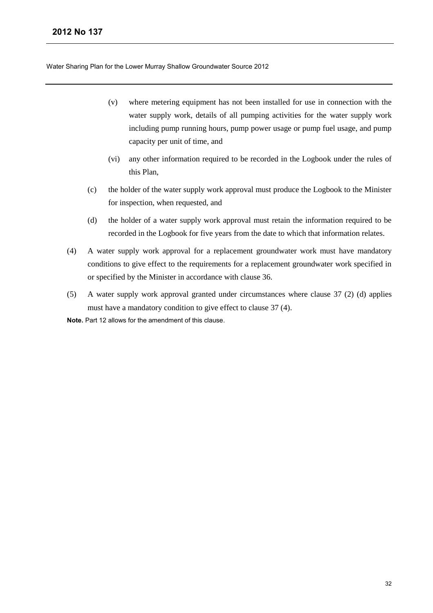- (v) where metering equipment has not been installed for use in connection with the water supply work, details of all pumping activities for the water supply work including pump running hours, pump power usage or pump fuel usage, and pump capacity per unit of time, and
- (vi) any other information required to be recorded in the Logbook under the rules of this Plan,
- (c) the holder of the water supply work approval must produce the Logbook to the Minister for inspection, when requested, and
- (d) the holder of a water supply work approval must retain the information required to be recorded in the Logbook for five years from the date to which that information relates.
- (4) A water supply work approval for a replacement groundwater work must have mandatory conditions to give effect to the requirements for a replacement groundwater work specified in or specified by the Minister in accordance with clause 36.
- (5) A water supply work approval granted under circumstances where clause 37 (2) (d) applies must have a mandatory condition to give effect to clause 37 (4).

**Note.** Part 12 allows for the amendment of this clause.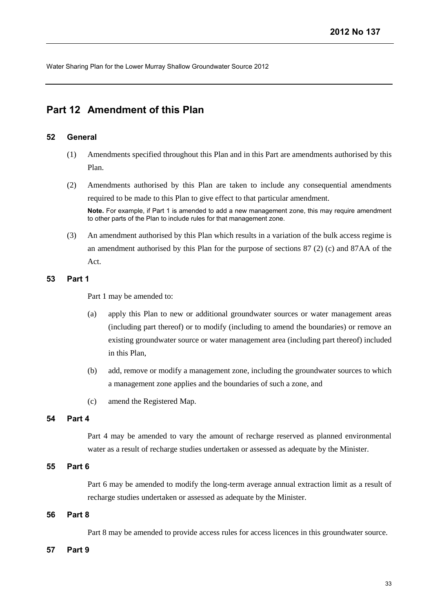## <span id="page-34-0"></span>**Part 12 Amendment of this Plan**

## **52 General**

- (1) Amendments specified throughout this Plan and in this Part are amendments authorised by this Plan.
- (2) Amendments authorised by this Plan are taken to include any consequential amendments required to be made to this Plan to give effect to that particular amendment. **Note.** For example, if Part 1 is amended to add a new management zone, this may require amendment to other parts of the Plan to include rules for that management zone.
- (3) An amendment authorised by this Plan which results in a variation of the bulk access regime is an amendment authorised by this Plan for the purpose of sections 87 (2) (c) and 87AA of the Act.

## **53 Part 1**

Part 1 may be amended to:

- (a) apply this Plan to new or additional groundwater sources or water management areas (including part thereof) or to modify (including to amend the boundaries) or remove an existing groundwater source or water management area (including part thereof) included in this Plan,
- (b) add, remove or modify a management zone, including the groundwater sources to which a management zone applies and the boundaries of such a zone, and
- (c) amend the Registered Map.

## **54 Part 4**

Part 4 may be amended to vary the amount of recharge reserved as planned environmental water as a result of recharge studies undertaken or assessed as adequate by the Minister.

## **55 Part 6**

Part 6 may be amended to modify the long-term average annual extraction limit as a result of recharge studies undertaken or assessed as adequate by the Minister.

## **56 Part 8**

Part 8 may be amended to provide access rules for access licences in this groundwater source.

## **57 Part 9**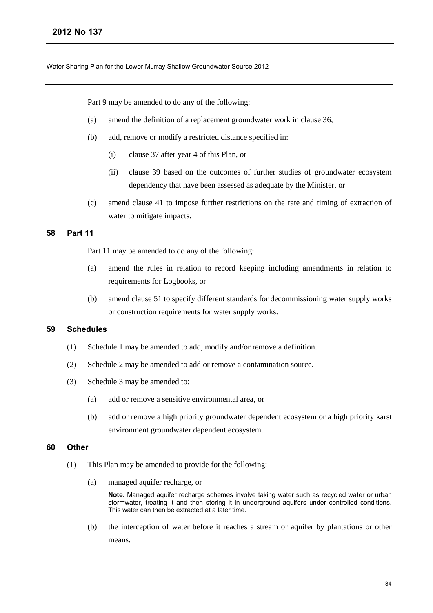Part 9 may be amended to do any of the following:

- (a) amend the definition of a replacement groundwater work in clause 36,
- (b) add, remove or modify a restricted distance specified in:
	- (i) clause 37 after year 4 of this Plan, or
	- (ii) clause 39 based on the outcomes of further studies of groundwater ecosystem dependency that have been assessed as adequate by the Minister, or
- (c) amend clause 41 to impose further restrictions on the rate and timing of extraction of water to mitigate impacts.

### **58 Part 11**

Part 11 may be amended to do any of the following:

- (a) amend the rules in relation to record keeping including amendments in relation to requirements for Logbooks, or
- (b) amend clause 51 to specify different standards for decommissioning water supply works or construction requirements for water supply works.

## **59 Schedules**

- (1) Schedule 1 may be amended to add, modify and/or remove a definition.
- (2) Schedule 2 may be amended to add or remove a contamination source.
- (3) Schedule 3 may be amended to:
	- (a) add or remove a sensitive environmental area, or
	- (b) add or remove a high priority groundwater dependent ecosystem or a high priority karst environment groundwater dependent ecosystem.

### **60 Other**

- (1) This Plan may be amended to provide for the following:
	- (a) managed aquifer recharge, or

**Note.** Managed aquifer recharge schemes involve taking water such as recycled water or urban stormwater, treating it and then storing it in underground aquifers under controlled conditions. This water can then be extracted at a later time.

(b) the interception of water before it reaches a stream or aquifer by plantations or other means.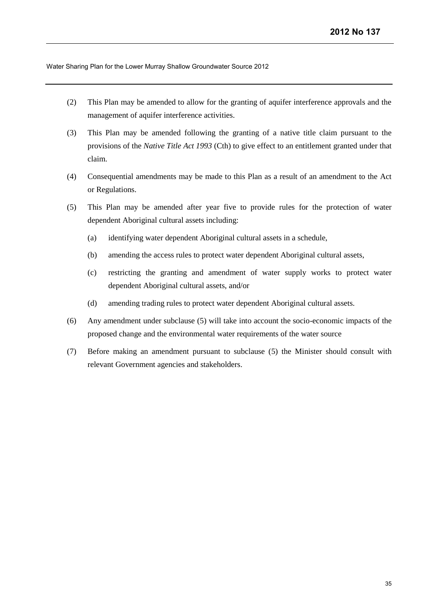- (2) This Plan may be amended to allow for the granting of aquifer interference approvals and the management of aquifer interference activities.
- (3) This Plan may be amended following the granting of a native title claim pursuant to the provisions of the *Native Title Act 1993* (Cth) to give effect to an entitlement granted under that claim.
- (4) Consequential amendments may be made to this Plan as a result of an amendment to the Act or Regulations.
- (5) This Plan may be amended after year five to provide rules for the protection of water dependent Aboriginal cultural assets including:
	- (a) identifying water dependent Aboriginal cultural assets in a schedule,
	- (b) amending the access rules to protect water dependent Aboriginal cultural assets,
	- (c) restricting the granting and amendment of water supply works to protect water dependent Aboriginal cultural assets, and/or
	- (d) amending trading rules to protect water dependent Aboriginal cultural assets.
- (6) Any amendment under subclause (5) will take into account the socio-economic impacts of the proposed change and the environmental water requirements of the water source
- (7) Before making an amendment pursuant to subclause (5) the Minister should consult with relevant Government agencies and stakeholders.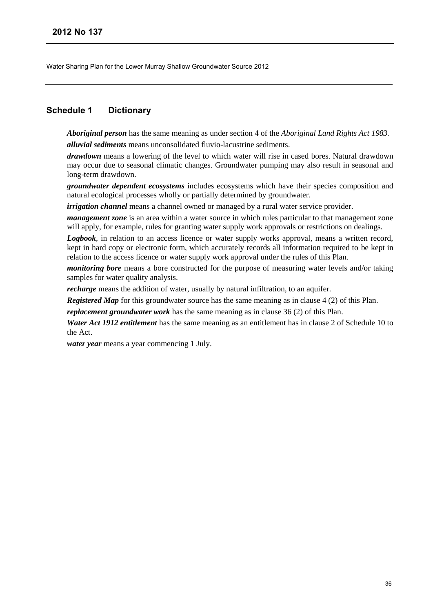## <span id="page-37-0"></span>**Schedule 1 Dictionary**

*Aboriginal person* has the same meaning as under section 4 of the *Aboriginal Land Rights Act 1983.*

*alluvial sediments* means unconsolidated fluvio-lacustrine sediments.

*drawdown* means a lowering of the level to which water will rise in cased bores. Natural drawdown may occur due to seasonal climatic changes. Groundwater pumping may also result in seasonal and long-term drawdown.

*groundwater dependent ecosystems* includes ecosystems which have their species composition and natural ecological processes wholly or partially determined by groundwater.

*irrigation channel* means a channel owned or managed by a rural water service provider.

*management zone* is an area within a water source in which rules particular to that management zone will apply, for example, rules for granting water supply work approvals or restrictions on dealings.

*Logbook*, in relation to an access licence or water supply works approval, means a written record, kept in hard copy or electronic form, which accurately records all information required to be kept in relation to the access licence or water supply work approval under the rules of this Plan.

*monitoring bore* means a bore constructed for the purpose of measuring water levels and/or taking samples for water quality analysis.

*recharge* means the addition of water, usually by natural infiltration, to an aquifer.

*Registered Map* for this groundwater source has the same meaning as in clause 4 (2) of this Plan.

*replacement groundwater work* has the same meaning as in clause 36 (2) of this Plan.

*Water Act 1912 entitlement* has the same meaning as an entitlement has in clause 2 of Schedule 10 to the Act.

*water year* means a year commencing 1 July.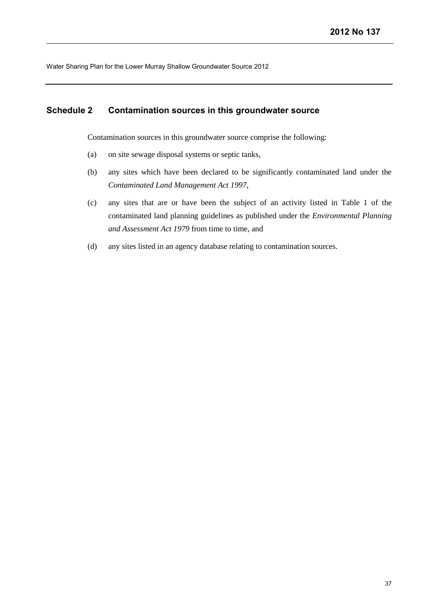## <span id="page-38-0"></span>**Schedule 2 Contamination sources in this groundwater source**

Contamination sources in this groundwater source comprise the following:

- (a) on site sewage disposal systems or septic tanks,
- (b) any sites which have been declared to be significantly contaminated land under the *Contaminated Land Management Act 1997*,
- (c) any sites that are or have been the subject of an activity listed in Table 1 of the contaminated land planning guidelines as published under the *Environmental Planning and Assessment Act 1979* from time to time, and
- (d) any sites listed in an agency database relating to contamination sources.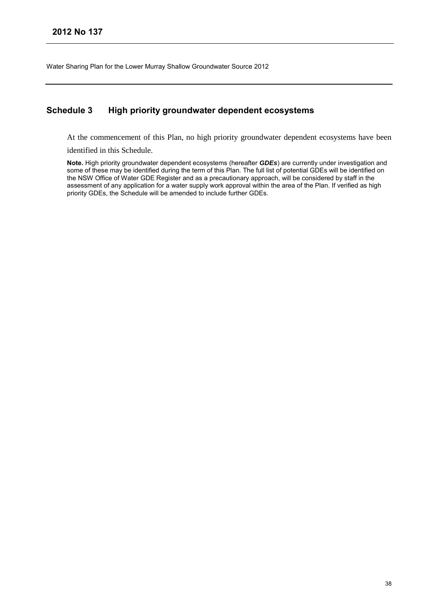## <span id="page-39-0"></span>**Schedule 3 High priority groundwater dependent ecosystems**

At the commencement of this Plan, no high priority groundwater dependent ecosystems have been

identified in this Schedule.

**Note.** High priority groundwater dependent ecosystems (hereafter *GDEs*) are currently under investigation and some of these may be identified during the term of this Plan. The full list of potential GDEs will be identified on the NSW Office of Water GDE Register and as a precautionary approach, will be considered by staff in the assessment of any application for a water supply work approval within the area of the Plan. If verified as high priority GDEs, the Schedule will be amended to include further GDEs.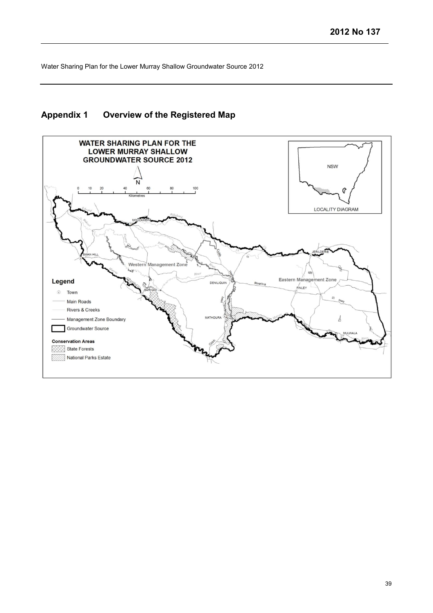## <span id="page-40-0"></span>**Appendix 1 Overview of the Registered Map**

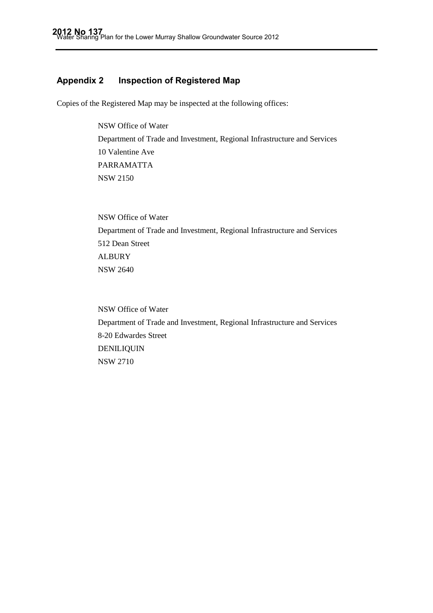## <span id="page-41-0"></span>**Appendix 2 Inspection of Registered Map**

Copies of the Registered Map may be inspected at the following offices:

NSW Office of Water Department of Trade and Investment, Regional Infrastructure and Services 10 Valentine Ave PARRAMATTA NSW 2150

NSW Office of Water Department of Trade and Investment, Regional Infrastructure and Services 512 Dean Street ALBURY NSW 2640

NSW Office of Water Department of Trade and Investment, Regional Infrastructure and Services 8-20 Edwardes Street DENILIQUIN NSW 2710